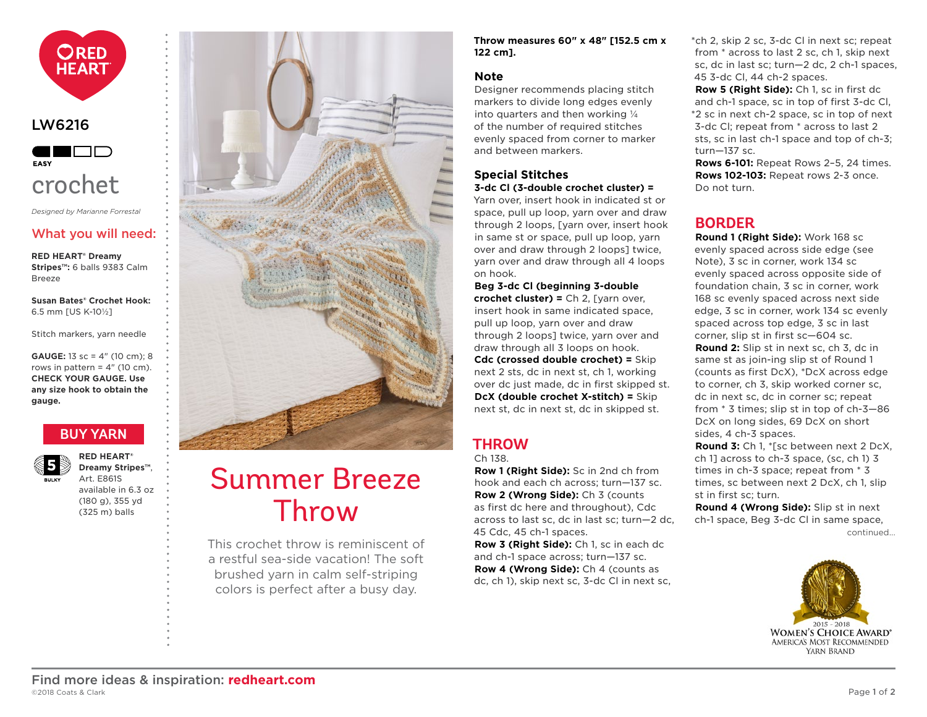<span id="page-0-0"></span>

#### LW6216



## crochet

*Designed by Marianne Forrestal*

#### What you will need:

**RED HEART® Dreamy Stripes™:** 6 balls 9383 Calm Breeze

**Susan Bates® Crochet Hook:** 6.5 mm [US K-10½]

Stitch markers, yarn needle

**GAUGE:** 13 sc = 4" (10 cm); 8 rows in pattern  $= 4$ " (10 cm). **CHECK YOUR GAUGE. Use any size hook to obtain the gauge.**

### **[BUY YARN](http://www.redheart.com/yarn/dreamy-stripes)**



**RED HEART® Dreamy Stripes™**, Art. E861S available in 6.3 oz (180 g), 355 yd (325 m) balls



# Summer Breeze Throw

This crochet throw is reminiscent of a restful sea-side vacation! The soft brushed yarn in calm self-striping colors is perfect after a busy day.

**Throw measures 60" x 48" [152.5 cm x 122 cm].**

#### **Note**

Designer recommends placing stitch markers to divide long edges evenly into quarters and then working ¼ of the number of required stitches evenly spaced from corner to marker and between markers.

#### **Special Stitches 3-dc Cl (3-double crochet cluster) =**

Yarn over, insert hook in indicated st or space, pull up loop, yarn over and draw through 2 loops, [yarn over, insert hook in same st or space, pull up loop, yarn over and draw through 2 loops] twice, yarn over and draw through all 4 loops on hook.

**Beg 3-dc Cl (beginning 3-double crochet cluster) =** Ch 2, [yarn over, insert hook in same indicated space, pull up loop, yarn over and draw through 2 loops] twice, yarn over and draw through all 3 loops on hook. **Cdc (crossed double crochet) =** Skip next 2 sts, dc in next st, ch 1, working over dc just made, dc in first skipped st. **DcX (double crochet X-stitch) =** Skip next st, dc in next st, dc in skipped st.

### **THROW**

#### Ch 138.

**Row 1 (Right Side):** Sc in 2nd ch from hook and each ch across; turn—137 sc. **Row 2 (Wrong Side):** Ch 3 (counts as first dc here and throughout), Cdc across to last sc, dc in last sc; turn—2 dc, 45 Cdc, 45 ch-1 spaces.

**Row 3 (Right Side):** Ch 1, sc in each dc and ch-1 space across; turn—137 sc. **Row 4 (Wrong Side):** Ch 4 (counts as dc, ch 1), skip next sc, 3-dc Cl in next sc, \*ch 2, skip 2 sc, 3-dc Cl in next sc; repeat from \* across to last 2 sc, ch 1, skip next sc, dc in last sc; turn—2 dc, 2 ch-1 spaces, 45 3-dc Cl, 44 ch-2 spaces.

**Row 5 (Right Side):** Ch 1, sc in first dc and ch-1 space, sc in top of first 3-dc Cl,

\*2 sc in next ch-2 space, sc in top of next 3-dc Cl; repeat from \* across to last 2 sts, sc in last ch-1 space and top of ch-3; turn—137 sc.

**Rows 6-101:** Repeat Rows 2–5, 24 times. **Rows 102-103:** Repeat rows 2-3 once. Do not turn.

## **BORDER**

**Round 1 (Right Side):** Work 168 sc evenly spaced across side edge (see Note), 3 sc in corner, work 134 sc evenly spaced across opposite side of foundation chain, 3 sc in corner, work 168 sc evenly spaced across next side edge, 3 sc in corner, work 134 sc evenly spaced across top edge, 3 sc in last corner, slip st in first sc—604 sc.

**Round 2:** Slip st in next sc, ch 3, dc in same st as join-ing slip st of Round 1 (counts as first DcX), \*DcX across edge to corner, ch 3, skip worked corner sc, dc in next sc, dc in corner sc; repeat from \* 3 times; slip st in top of ch-3—86 DcX on long sides, 69 DcX on short sides, 4 ch-3 spaces.

**Round 3:** Ch 1, \*[sc between next 2 DcX, ch 1] across to ch-3 space, (sc, ch 1) 3 times in ch-3 space; repeat from \* 3 times, sc between next 2 DcX, ch 1, slip st in first sc; turn.

c[ontinued...](#page-1-0) **Round 4 (Wrong Side):** Slip st in next ch-1 space, Beg 3-dc Cl in same space,